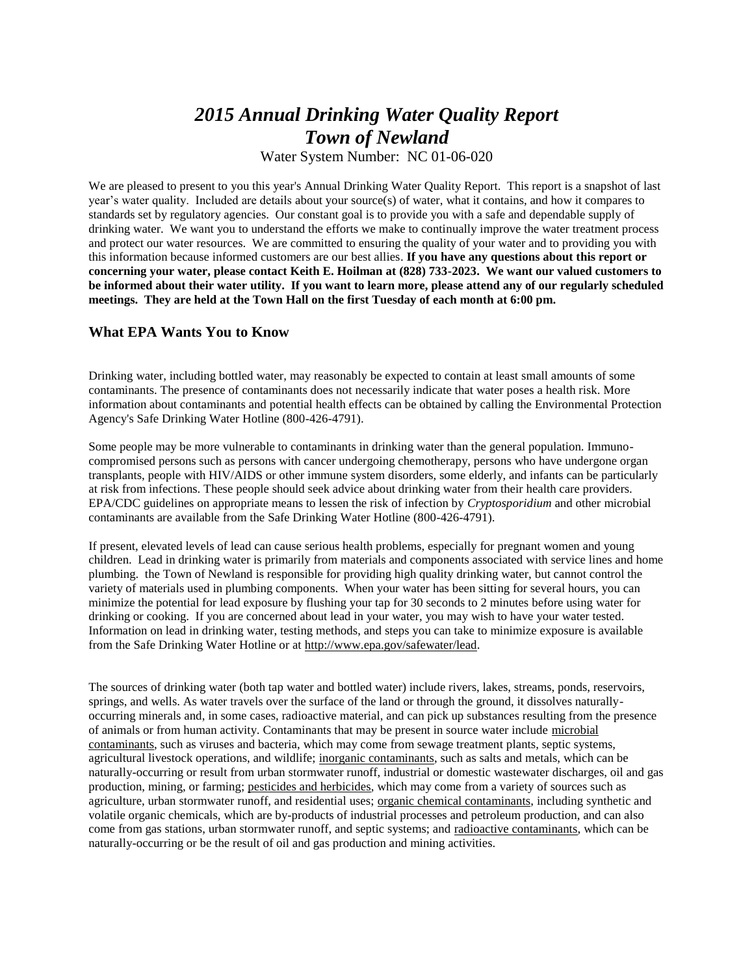# *2015 Annual Drinking Water Quality Report Town of Newland*

Water System Number: NC 01-06-020

We are pleased to present to you this year's Annual Drinking Water Quality Report. This report is a snapshot of last year's water quality. Included are details about your source(s) of water, what it contains, and how it compares to standards set by regulatory agencies. Our constant goal is to provide you with a safe and dependable supply of drinking water. We want you to understand the efforts we make to continually improve the water treatment process and protect our water resources. We are committed to ensuring the quality of your water and to providing you with this information because informed customers are our best allies. **If you have any questions about this report or concerning your water, please contact Keith E. Hoilman at (828) 733-2023. We want our valued customers to be informed about their water utility. If you want to learn more, please attend any of our regularly scheduled meetings. They are held at the Town Hall on the first Tuesday of each month at 6:00 pm.**

## **What EPA Wants You to Know**

Drinking water, including bottled water, may reasonably be expected to contain at least small amounts of some contaminants. The presence of contaminants does not necessarily indicate that water poses a health risk. More information about contaminants and potential health effects can be obtained by calling the Environmental Protection Agency's Safe Drinking Water Hotline (800-426-4791).

Some people may be more vulnerable to contaminants in drinking water than the general population. Immunocompromised persons such as persons with cancer undergoing chemotherapy, persons who have undergone organ transplants, people with HIV/AIDS or other immune system disorders, some elderly, and infants can be particularly at risk from infections. These people should seek advice about drinking water from their health care providers. EPA/CDC guidelines on appropriate means to lessen the risk of infection by *Cryptosporidium* and other microbial contaminants are available from the Safe Drinking Water Hotline (800-426-4791).

If present, elevated levels of lead can cause serious health problems, especially for pregnant women and young children. Lead in drinking water is primarily from materials and components associated with service lines and home plumbing. the Town of Newland is responsible for providing high quality drinking water, but cannot control the variety of materials used in plumbing components. When your water has been sitting for several hours, you can minimize the potential for lead exposure by flushing your tap for 30 seconds to 2 minutes before using water for drinking or cooking. If you are concerned about lead in your water, you may wish to have your water tested. Information on lead in drinking water, testing methods, and steps you can take to minimize exposure is available from the Safe Drinking Water Hotline or at [http://www.epa.gov/safewater/lead.](http://www.epa.gov/safewater/lead)

The sources of drinking water (both tap water and bottled water) include rivers, lakes, streams, ponds, reservoirs, springs, and wells. As water travels over the surface of the land or through the ground, it dissolves naturallyoccurring minerals and, in some cases, radioactive material, and can pick up substances resulting from the presence of animals or from human activity. Contaminants that may be present in source water include microbial contaminants, such as viruses and bacteria, which may come from sewage treatment plants, septic systems, agricultural livestock operations, and wildlife; inorganic contaminants, such as salts and metals, which can be naturally-occurring or result from urban stormwater runoff, industrial or domestic wastewater discharges, oil and gas production, mining, or farming; pesticides and herbicides, which may come from a variety of sources such as agriculture, urban stormwater runoff, and residential uses; organic chemical contaminants, including synthetic and volatile organic chemicals, which are by-products of industrial processes and petroleum production, and can also come from gas stations, urban stormwater runoff, and septic systems; and radioactive contaminants, which can be naturally-occurring or be the result of oil and gas production and mining activities.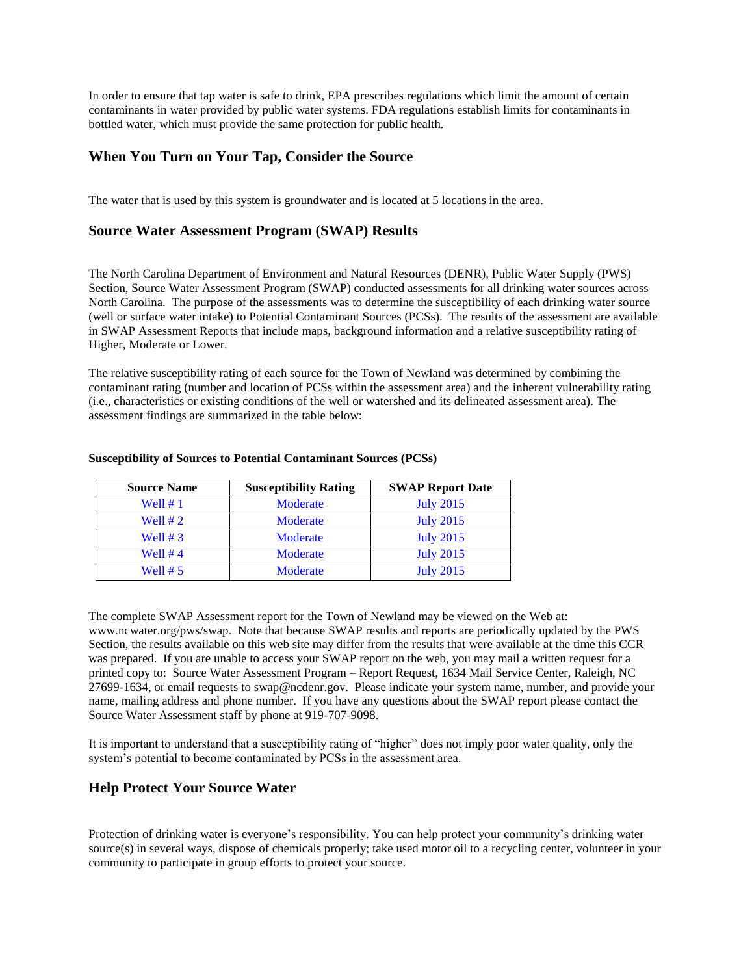In order to ensure that tap water is safe to drink, EPA prescribes regulations which limit the amount of certain contaminants in water provided by public water systems. FDA regulations establish limits for contaminants in bottled water, which must provide the same protection for public health.

# **When You Turn on Your Tap, Consider the Source**

The water that is used by this system is groundwater and is located at 5 locations in the area.

# **Source Water Assessment Program (SWAP) Results**

The North Carolina Department of Environment and Natural Resources (DENR), Public Water Supply (PWS) Section, Source Water Assessment Program (SWAP) conducted assessments for all drinking water sources across North Carolina. The purpose of the assessments was to determine the susceptibility of each drinking water source (well or surface water intake) to Potential Contaminant Sources (PCSs). The results of the assessment are available in SWAP Assessment Reports that include maps, background information and a relative susceptibility rating of Higher, Moderate or Lower.

The relative susceptibility rating of each source for the Town of Newland was determined by combining the contaminant rating (number and location of PCSs within the assessment area) and the inherent vulnerability rating (i.e., characteristics or existing conditions of the well or watershed and its delineated assessment area). The assessment findings are summarized in the table below:

| <b>Source Name</b> | <b>Susceptibility Rating</b> | <b>SWAP Report Date</b> |
|--------------------|------------------------------|-------------------------|
| Well $# 1$         | Moderate                     | <b>July 2015</b>        |
| Well $# 2$         | Moderate                     | <b>July 2015</b>        |
| Well $# 3$         | Moderate                     | <b>July 2015</b>        |
| Well $#4$          | Moderate                     | <b>July 2015</b>        |
| Well $# 5$         | Moderate                     | <b>July 2015</b>        |

#### **Susceptibility of Sources to Potential Contaminant Sources (PCSs)**

The complete SWAP Assessment report for the Town of Newland may be viewed on the Web at: [www.ncwater.org/pws/swap.](http://www.ncwater.org/pws/swap) Note that because SWAP results and reports are periodically updated by the PWS Section, the results available on this web site may differ from the results that were available at the time this CCR was prepared. If you are unable to access your SWAP report on the web, you may mail a written request for a printed copy to: Source Water Assessment Program – Report Request, 1634 Mail Service Center, Raleigh, NC 27699-1634, or email requests to swap@ncdenr.gov. Please indicate your system name, number, and provide your name, mailing address and phone number. If you have any questions about the SWAP report please contact the Source Water Assessment staff by phone at 919-707-9098.

It is important to understand that a susceptibility rating of "higher" does not imply poor water quality, only the system's potential to become contaminated by PCSs in the assessment area.

# **Help Protect Your Source Water**

Protection of drinking water is everyone's responsibility. You can help protect your community's drinking water source(s) in several ways, dispose of chemicals properly; take used motor oil to a recycling center, volunteer in your community to participate in group efforts to protect your source.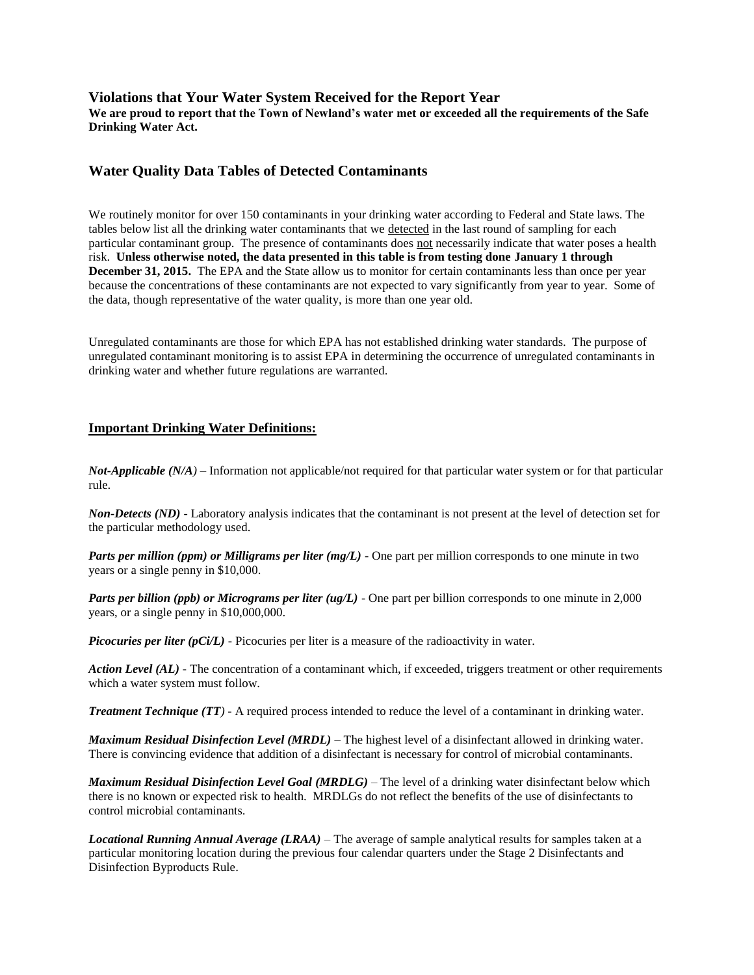## **Violations that Your Water System Received for the Report Year**

**We are proud to report that the Town of Newland's water met or exceeded all the requirements of the Safe Drinking Water Act.** 

# **Water Quality Data Tables of Detected Contaminants**

We routinely monitor for over 150 contaminants in your drinking water according to Federal and State laws. The tables below list all the drinking water contaminants that we detected in the last round of sampling for each particular contaminant group. The presence of contaminants does not necessarily indicate that water poses a health risk. **Unless otherwise noted, the data presented in this table is from testing done January 1 through December 31, 2015.** The EPA and the State allow us to monitor for certain contaminants less than once per year because the concentrations of these contaminants are not expected to vary significantly from year to year. Some of the data, though representative of the water quality, is more than one year old.

Unregulated contaminants are those for which EPA has not established drinking water standards. The purpose of unregulated contaminant monitoring is to assist EPA in determining the occurrence of unregulated contaminants in drinking water and whether future regulations are warranted.

### **Important Drinking Water Definitions:**

*Not-Applicable (N/A)* – Information not applicable/not required for that particular water system or for that particular rule.

*Non-Detects (ND)* - Laboratory analysis indicates that the contaminant is not present at the level of detection set for the particular methodology used.

*Parts per million (ppm) or Milligrams per liter (mg/L)* - One part per million corresponds to one minute in two years or a single penny in \$10,000.

*Parts per billion (ppb) or Micrograms per liter (ug/L)* - One part per billion corresponds to one minute in 2,000 years, or a single penny in \$10,000,000.

*Picocuries per liter (pCi/L)* - Picocuries per liter is a measure of the radioactivity in water.

*Action Level (AL) -* The concentration of a contaminant which, if exceeded, triggers treatment or other requirements which a water system must follow.

*Treatment Technique (TT)* **-** A required process intended to reduce the level of a contaminant in drinking water.

*Maximum Residual Disinfection Level (MRDL)* – The highest level of a disinfectant allowed in drinking water. There is convincing evidence that addition of a disinfectant is necessary for control of microbial contaminants.

*Maximum Residual Disinfection Level Goal (MRDLG)* – The level of a drinking water disinfectant below which there is no known or expected risk to health. MRDLGs do not reflect the benefits of the use of disinfectants to control microbial contaminants.

*Locational Running Annual Average (LRAA)* – The average of sample analytical results for samples taken at a particular monitoring location during the previous four calendar quarters under the Stage 2 Disinfectants and Disinfection Byproducts Rule.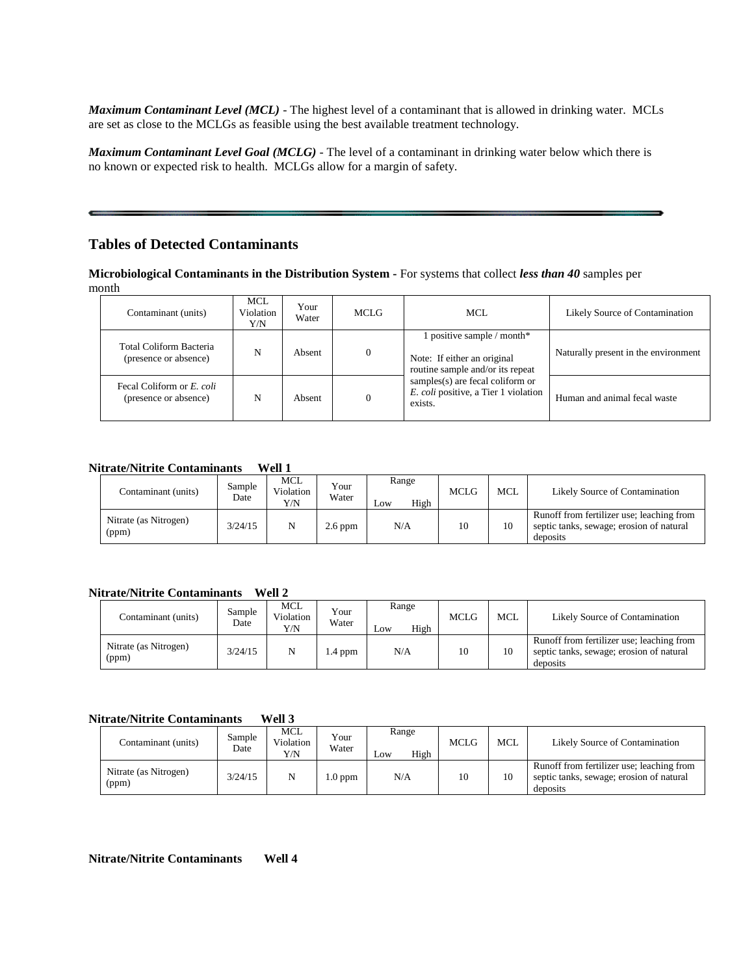*Maximum Contaminant Level (MCL)* - The highest level of a contaminant that is allowed in drinking water. MCLs are set as close to the MCLGs as feasible using the best available treatment technology.

*Maximum Contaminant Level Goal (MCLG)* - The level of a contaminant in drinking water below which there is no known or expected risk to health. MCLGs allow for a margin of safety.

# **Tables of Detected Contaminants**

**Microbiological Contaminants in the Distribution System -** For systems that collect *less than 40* samples per month

| Contaminant (units)                                | <b>MCL</b><br>Violation<br>Y/N | Your<br>Water | MCLG. | MCL.                                                                                          | Likely Source of Contamination       |
|----------------------------------------------------|--------------------------------|---------------|-------|-----------------------------------------------------------------------------------------------|--------------------------------------|
| Total Coliform Bacteria<br>(presence or absence)   | N                              | Absent        |       | 1 positive sample / month*<br>Note: If either an original<br>routine sample and/or its repeat | Naturally present in the environment |
| Fecal Coliform or E. coli<br>(presence or absence) | N                              | Absent        |       | samples(s) are fecal coliform or<br>E. coli positive, a Tier 1 violation<br>exists.           | Human and animal fecal waste         |

#### **Nitrate/Nitrite Contaminants Well 1**

| Contaminant (units)            | Sample<br>Date | MCL<br>Violation<br>Y/N | Your<br>Water | Range<br>High<br>Low | <b>MCLG</b> | <b>MCL</b> | Likely Source of Contamination                                                                    |
|--------------------------------|----------------|-------------------------|---------------|----------------------|-------------|------------|---------------------------------------------------------------------------------------------------|
| Nitrate (as Nitrogen)<br>(ppm) | 3/24/15        | N                       | 2.6 ppm       | N/A                  | 10          | 10         | Runoff from fertilizer use; leaching from<br>septic tanks, sewage; erosion of natural<br>deposits |

#### **Nitrate/Nitrite Contaminants Well 2**

| Contaminant (units)            | Sample<br>Date | MCL<br>Violation<br>Y/N | Your<br>Water | Range<br>High<br>$L$ <sub>O</sub> W | MCLG | <b>MCL</b> | Likely Source of Contamination                                                                    |
|--------------------------------|----------------|-------------------------|---------------|-------------------------------------|------|------------|---------------------------------------------------------------------------------------------------|
| Nitrate (as Nitrogen)<br>(ppm) | 3/24/15        | N                       | $\sim$ .4 ppm | N/A                                 | 10   | 10         | Runoff from fertilizer use; leaching from<br>septic tanks, sewage; erosion of natural<br>deposits |

#### **Nitrate/Nitrite Contaminants Well 3**

| Contaminant (units)            | Sample<br>Date | <b>MCL</b><br>Violation<br>Y/N | Your<br>Water | Range<br>High<br>Low | <b>MCLG</b> | <b>MCL</b> | Likely Source of Contamination                                                                    |
|--------------------------------|----------------|--------------------------------|---------------|----------------------|-------------|------------|---------------------------------------------------------------------------------------------------|
| Nitrate (as Nitrogen)<br>(ppm) | 3/24/15        | N                              | $0.0$ ppm     | N/A                  | 10          | 10         | Runoff from fertilizer use; leaching from<br>septic tanks, sewage; erosion of natural<br>deposits |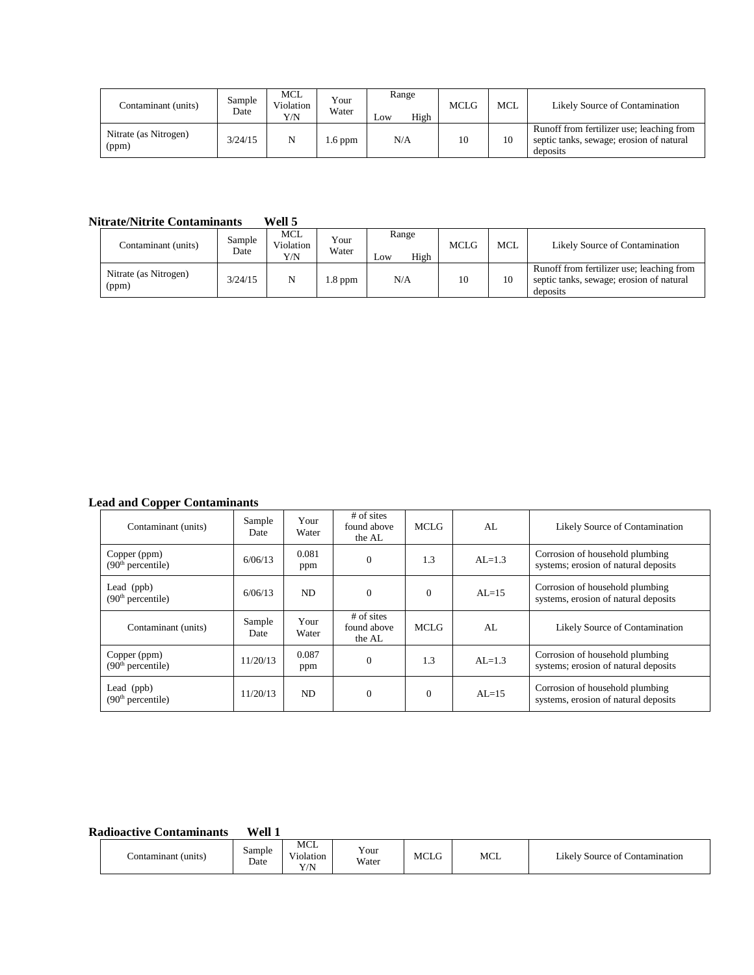| Contaminant (units)            | Sample<br>Date | <b>MCL</b><br>Violation<br>Y/N | Your<br>Water | Range<br>High<br>Low | <b>MCLG</b> | <b>MCL</b> | Likely Source of Contamination                                                                    |
|--------------------------------|----------------|--------------------------------|---------------|----------------------|-------------|------------|---------------------------------------------------------------------------------------------------|
| Nitrate (as Nitrogen)<br>(ppm) | 3/24/15        | N                              | .6 ppm        | N/A                  | 10          | 10         | Runoff from fertilizer use; leaching from<br>septic tanks, sewage; erosion of natural<br>deposits |

## **Nitrate/Nitrite Contaminants Well 5**

| Contaminant (units)            | Sample<br>Date | MCL<br>Violation<br>Y/N | Your<br>Water | Range<br>High<br>$L$ <sub>O</sub> W | <b>MCLG</b> | <b>MCL</b> | Likely Source of Contamination                                                                    |
|--------------------------------|----------------|-------------------------|---------------|-------------------------------------|-------------|------------|---------------------------------------------------------------------------------------------------|
| Nitrate (as Nitrogen)<br>(ppm) | 3/24/15        | N                       | $1.8$ ppm     | N/A                                 | 10          | 10         | Runoff from fertilizer use; leaching from<br>septic tanks, sewage; erosion of natural<br>deposits |

# **Lead and Copper Contaminants**

| Contaminant (units)                           | Sample<br>Date | Your<br>Water | $#$ of sites<br>found above<br>the AL | <b>MCLG</b>  | AL        | Likely Source of Contamination                                          |
|-----------------------------------------------|----------------|---------------|---------------------------------------|--------------|-----------|-------------------------------------------------------------------------|
| Copper (ppm)<br>(90 <sup>th</sup> percentile) | 6/06/13        | 0.081<br>ppm  | $\Omega$                              | 1.3          | $AL=1.3$  | Corrosion of household plumbing<br>systems; erosion of natural deposits |
| Lead $(ppb)$<br>(90 <sup>th</sup> percentile) | 6/06/13        | ND.           | $\Omega$                              | $\mathbf{0}$ | $AI = 15$ | Corrosion of household plumbing<br>systems, erosion of natural deposits |
| Contaminant (units)                           | Sample<br>Date | Your<br>Water | $#$ of sites<br>found above<br>the AL | MCLG         | AI.       | Likely Source of Contamination                                          |
| Copper (ppm)<br>(90 <sup>th</sup> percentile) | 11/20/13       | 0.087<br>ppm  | $\Omega$                              | 1.3          | $AL=1.3$  | Corrosion of household plumbing<br>systems; erosion of natural deposits |
| Lead $(ppb)$<br>(90 <sup>th</sup> percentile) | 11/20/13       | ND.           | $\Omega$                              | $\Omega$     | $AI = 15$ | Corrosion of household plumbing<br>systems, erosion of natural deposits |

# **Radioactive Contaminants Well 1**

| Contaminant (units)_ | Sample<br>Date | <b>MCL</b><br>$-1$<br>101ation<br>V/N<br>1/1 | . .<br>Y our<br>Water | <b>MCLG</b> | <b>MCL</b> | .<br>Contamination<br>∟ikelv<br>Source of C |
|----------------------|----------------|----------------------------------------------|-----------------------|-------------|------------|---------------------------------------------|
|----------------------|----------------|----------------------------------------------|-----------------------|-------------|------------|---------------------------------------------|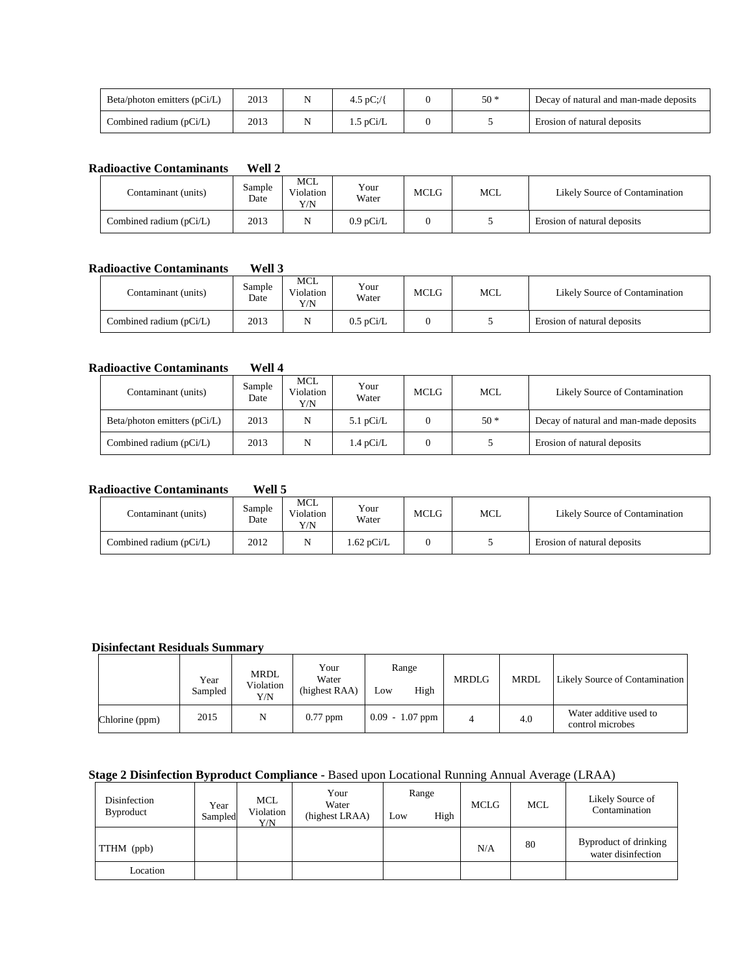| Beta/photon emitters $(pCi/L)$ | 2013 | 4.5 pC:// | $50*$ | Decay of natural and man-made deposits |
|--------------------------------|------|-----------|-------|----------------------------------------|
| Combined radium (pCi/L)        | 2013 | 1.5 pCi/L |       | Erosion of natural deposits            |

#### **Radioactive Contaminants Well 2**

| Contaminant (units)     | Sample<br>Date | <b>MCL</b><br>Violation<br>Y/N | Your<br>Water | <b>MCLG</b> | MCL | Likely Source of Contamination |
|-------------------------|----------------|--------------------------------|---------------|-------------|-----|--------------------------------|
| Combined radium (pCi/L) | 2013           | N                              | $0.9$ pCi/L   |             |     | Erosion of natural deposits    |

## **Radioactive Contaminants Well 3**

| Contaminant (units)     | Sample<br>Date | MCL<br>Violation<br>Y/N | Your<br>Water       | MCLG | MCL | Likely Source of Contamination |
|-------------------------|----------------|-------------------------|---------------------|------|-----|--------------------------------|
| Combined radium (pCi/L) | 2013           |                         | $0.5 \text{ pCi/L}$ |      |     | Erosion of natural deposits    |

#### **Radioactive Contaminants Well 4**

| Contaminant (units)            | Sample<br>Date | MCL<br>Violation<br>Y/N | Your<br>Water       | <b>MCLG</b> | <b>MCL</b> | Likely Source of Contamination         |
|--------------------------------|----------------|-------------------------|---------------------|-------------|------------|----------------------------------------|
| Beta/photon emitters $(pCi/L)$ | 2013           | N                       | 5.1 $pCi/L$         |             | $50*$      | Decay of natural and man-made deposits |
| Combined radium (pCi/L)        | 2013           | N                       | $1.4 \text{ pCi/L}$ |             |            | Erosion of natural deposits            |

#### **Radioactive Contaminants Well 5**

| Contaminant (units)     | Sample<br>Date | MCL<br>Violation<br>Y/N | Your<br>Water | <b>MCLG</b> | MCL | Likely Source of Contamination |
|-------------------------|----------------|-------------------------|---------------|-------------|-----|--------------------------------|
| Combined radium (pCi/L) | 2012           |                         | $1.62$ pCi/L  |             |     | Erosion of natural deposits    |

## **Disinfectant Residuals Summary**

|                | Year<br>Sampled | MRDL<br>Violation<br>Y/N | Your<br>Water<br>(highest RAA) | Range<br>High<br>Low | <b>MRDLG</b> | <b>MRDL</b> | Likely Source of Contamination             |
|----------------|-----------------|--------------------------|--------------------------------|----------------------|--------------|-------------|--------------------------------------------|
| Chlorine (ppm) | 2015            | N                        | $0.77$ ppm                     | $0.09 - 1.07$ ppm    |              | 4.0         | Water additive used to<br>control microbes |

# **Stage 2 Disinfection Byproduct Compliance -** Based upon Locational Running Annual Average (LRAA)

| Disinfection<br>Byproduct | Year<br>Sampled | <b>MCL</b><br>Violation<br>Y/N | Your<br>Water<br>(highest LRAA) | Range<br>Low | High | <b>MCLG</b> | <b>MCL</b> | Likely Source of<br>Contamination           |
|---------------------------|-----------------|--------------------------------|---------------------------------|--------------|------|-------------|------------|---------------------------------------------|
| TTHM (ppb)                |                 |                                |                                 |              |      | N/A         | 80         | Byproduct of drinking<br>water disinfection |
| Location                  |                 |                                |                                 |              |      |             |            |                                             |